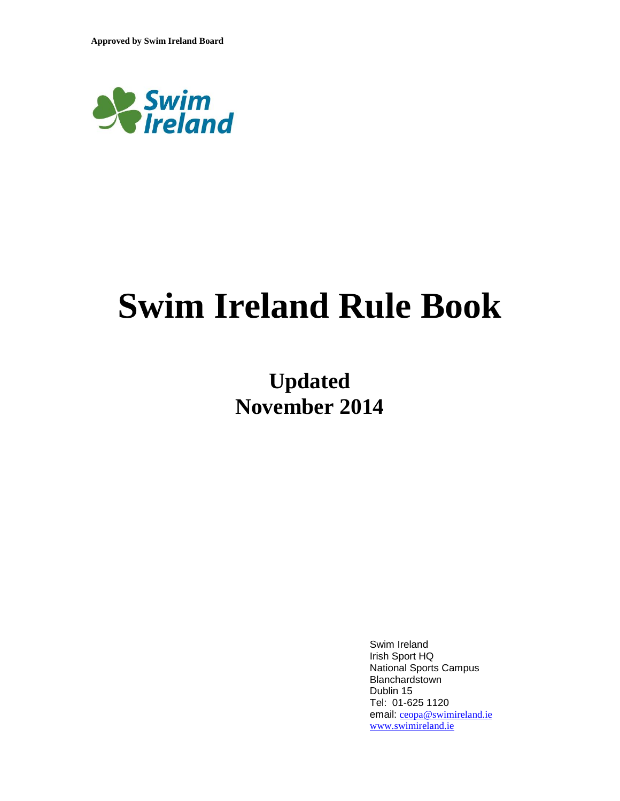

# **Swim Ireland Rule Book**

# **Updated November 2014**

Swim Ireland Irish Sport HQ National Sports Campus Blanchardstown Dublin 15 Tel: 01-625 1120 email: [ceopa@swimireland.ie](mailto:ceopa@swimireland.ie) [www.swimireland.ie](http://www.swimireland.ie/)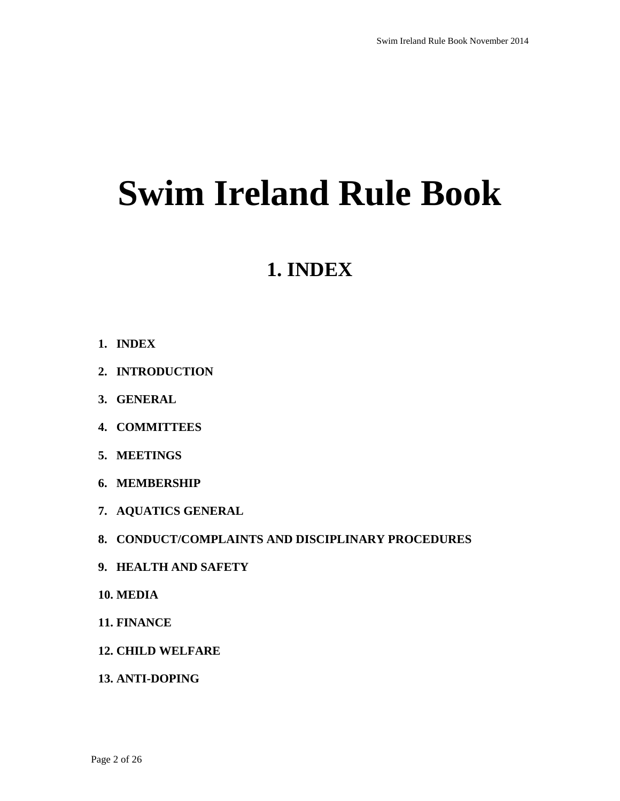# **Swim Ireland Rule Book**

# **1. INDEX**

- **1. INDEX**
- **2. INTRODUCTION**
- **3. GENERAL**
- **4. COMMITTEES**
- **5. MEETINGS**
- **6. MEMBERSHIP**
- **7. AQUATICS GENERAL**
- **8. CONDUCT/COMPLAINTS AND DISCIPLINARY PROCEDURES**
- **9. HEALTH AND SAFETY**
- **10. MEDIA**
- **11. FINANCE**
- **12. CHILD WELFARE**
- **13. ANTI-DOPING**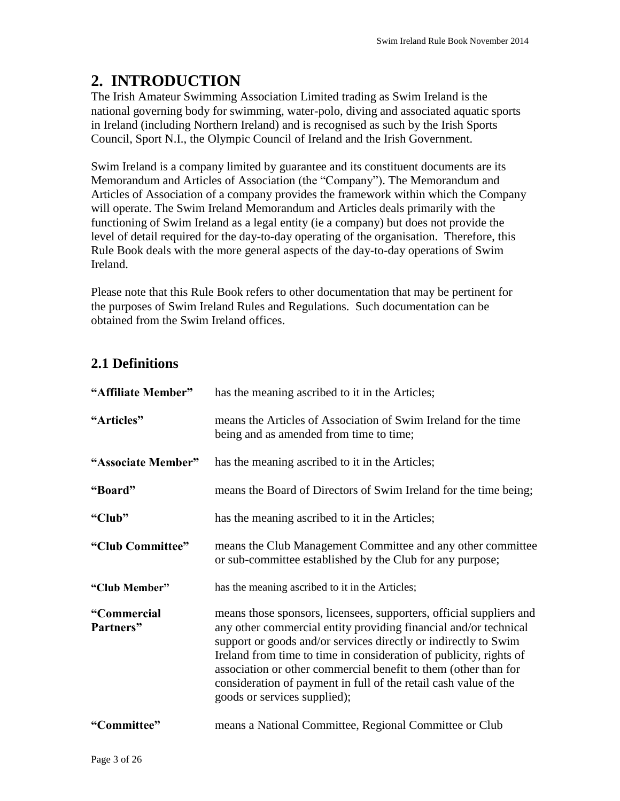# **2. INTRODUCTION**

The Irish Amateur Swimming Association Limited trading as Swim Ireland is the national governing body for swimming, water-polo, diving and associated aquatic sports in Ireland (including Northern Ireland) and is recognised as such by the Irish Sports Council, Sport N.I., the Olympic Council of Ireland and the Irish Government.

Swim Ireland is a company limited by guarantee and its constituent documents are its Memorandum and Articles of Association (the "Company"). The Memorandum and Articles of Association of a company provides the framework within which the Company will operate. The Swim Ireland Memorandum and Articles deals primarily with the functioning of Swim Ireland as a legal entity (ie a company) but does not provide the level of detail required for the day-to-day operating of the organisation. Therefore, this Rule Book deals with the more general aspects of the day-to-day operations of Swim Ireland.

Please note that this Rule Book refers to other documentation that may be pertinent for the purposes of Swim Ireland Rules and Regulations. Such documentation can be obtained from the Swim Ireland offices.

## **2.1 Definitions**

| "Affiliate Member"       | has the meaning ascribed to it in the Articles;                                                                                                                                                                                                                                                                                                                                                                                                         |
|--------------------------|---------------------------------------------------------------------------------------------------------------------------------------------------------------------------------------------------------------------------------------------------------------------------------------------------------------------------------------------------------------------------------------------------------------------------------------------------------|
| "Articles"               | means the Articles of Association of Swim Ireland for the time<br>being and as amended from time to time;                                                                                                                                                                                                                                                                                                                                               |
| "Associate Member"       | has the meaning ascribed to it in the Articles;                                                                                                                                                                                                                                                                                                                                                                                                         |
| "Board"                  | means the Board of Directors of Swim Ireland for the time being;                                                                                                                                                                                                                                                                                                                                                                                        |
| "Club"                   | has the meaning ascribed to it in the Articles;                                                                                                                                                                                                                                                                                                                                                                                                         |
| "Club Committee"         | means the Club Management Committee and any other committee<br>or sub-committee established by the Club for any purpose;                                                                                                                                                                                                                                                                                                                                |
| "Club Member"            | has the meaning ascribed to it in the Articles;                                                                                                                                                                                                                                                                                                                                                                                                         |
| "Commercial<br>Partners" | means those sponsors, licensees, supporters, official suppliers and<br>any other commercial entity providing financial and/or technical<br>support or goods and/or services directly or indirectly to Swim<br>Ireland from time to time in consideration of publicity, rights of<br>association or other commercial benefit to them (other than for<br>consideration of payment in full of the retail cash value of the<br>goods or services supplied); |
| "Committee"              | means a National Committee, Regional Committee or Club                                                                                                                                                                                                                                                                                                                                                                                                  |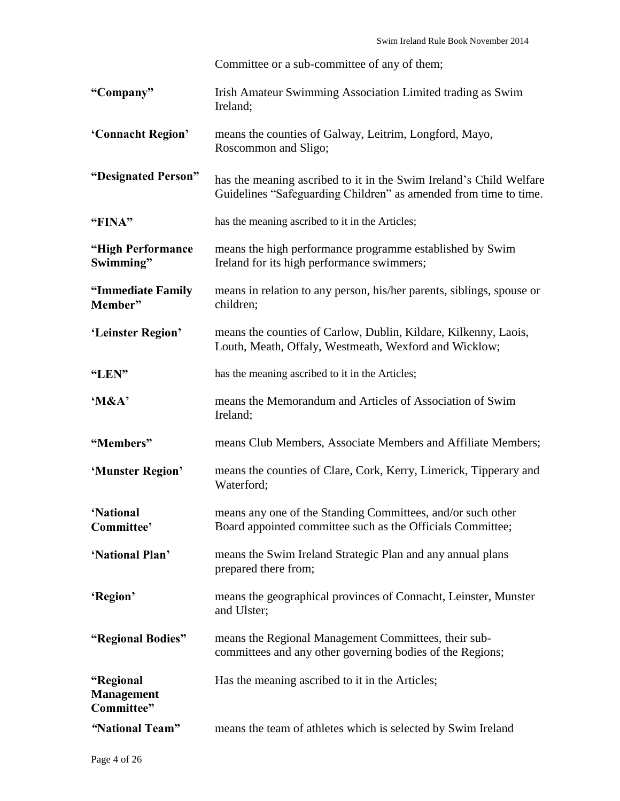Committee or a sub-committee of any of them;

| "Company"         | Irish Amateur Swimming Association Limited trading as Swim<br>Ireland:         |
|-------------------|--------------------------------------------------------------------------------|
| 'Connacht Region' | means the counties of Galway, Leitrim, Longford, Mayo,<br>Roscommon and Sligo; |

**"Designated Person"** has the meaning ascribed to it in the Swim Ireland's Child Welfare Guidelines "Safeguarding Children" as amended from time to time.

**"FINA"** has the meaning ascribed to it in the Articles;

- **"High Performance Swimming"** means the high performance programme established by Swim Ireland for its high performance swimmers;
- **"Immediate Family Member"** means in relation to any person, his/her parents, siblings, spouse or children;
- **'Leinster Region'** means the counties of Carlow, Dublin, Kildare, Kilkenny, Laois, Louth, Meath, Offaly, Westmeath, Wexford and Wicklow;
- **"LEN"** has the meaning ascribed to it in the Articles;
- **'M&A'** means the Memorandum and Articles of Association of Swim Ireland;
- **"Members"** means Club Members, Associate Members and Affiliate Members;
- **'Munster Region'** means the counties of Clare, Cork, Kerry, Limerick, Tipperary and Waterford;
- **'National Committee'** means any one of the Standing Committees, and/or such other Board appointed committee such as the Officials Committee;
- **'National Plan'** means the Swim Ireland Strategic Plan and any annual plans prepared there from;
- **'Region'** means the geographical provinces of Connacht, Leinster, Munster and Ulster;
- **"Regional Bodies"** means the Regional Management Committees, their subcommittees and any other governing bodies of the Regions;
	- Has the meaning ascribed to it in the Articles;
- **Management Committee"**
- *"***National Team"** means the team of athletes which is selected by Swim Ireland

**"Regional**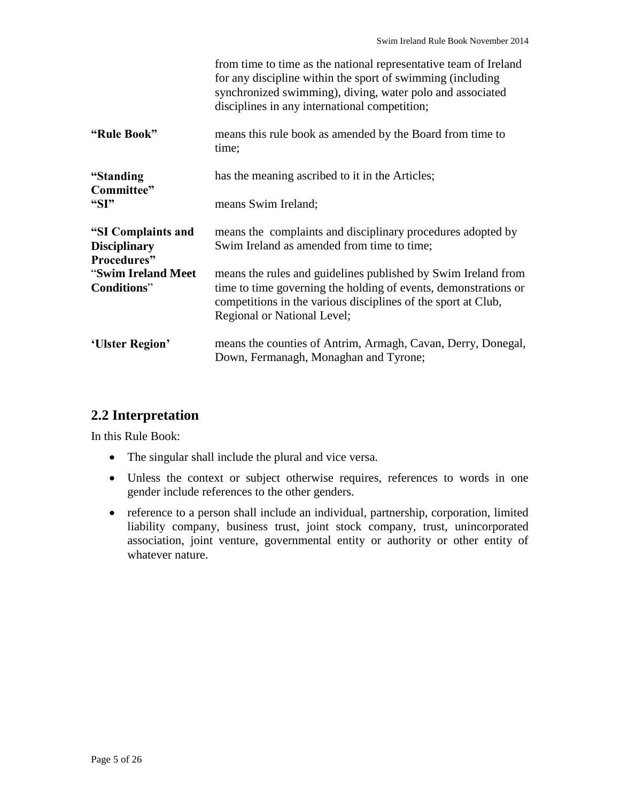|                                                                                               | from time to time as the national representative team of Ireland<br>for any discipline within the sport of swimming (including<br>synchronized swimming), diving, water polo and associated<br>disciplines in any international competition; |
|-----------------------------------------------------------------------------------------------|----------------------------------------------------------------------------------------------------------------------------------------------------------------------------------------------------------------------------------------------|
| "Rule Book"                                                                                   | means this rule book as amended by the Board from time to<br>time;                                                                                                                                                                           |
| "Standing<br>Committee"<br>" $SI"$                                                            | has the meaning ascribed to it in the Articles;                                                                                                                                                                                              |
|                                                                                               | means Swim Ireland;                                                                                                                                                                                                                          |
| "SI Complaints and<br><b>Disciplinary</b><br>Procedures"<br>"Swim Ireland Meet<br>Conditions" | means the complaints and disciplinary procedures adopted by<br>Swim Ireland as amended from time to time;                                                                                                                                    |
|                                                                                               | means the rules and guidelines published by Swim Ireland from<br>time to time governing the holding of events, demonstrations or<br>competitions in the various disciplines of the sport at Club,<br>Regional or National Level;             |
| 'Ulster Region'                                                                               | means the counties of Antrim, Armagh, Cavan, Derry, Donegal,<br>Down, Fermanagh, Monaghan and Tyrone;                                                                                                                                        |

#### **2.2 Interpretation**

In this Rule Book:

- The singular shall include the plural and vice versa.
- Unless the context or subject otherwise requires, references to words in one gender include references to the other genders.
- reference to a person shall include an individual, partnership, corporation, limited liability company, business trust, joint stock company, trust, unincorporated association, joint venture, governmental entity or authority or other entity of whatever nature.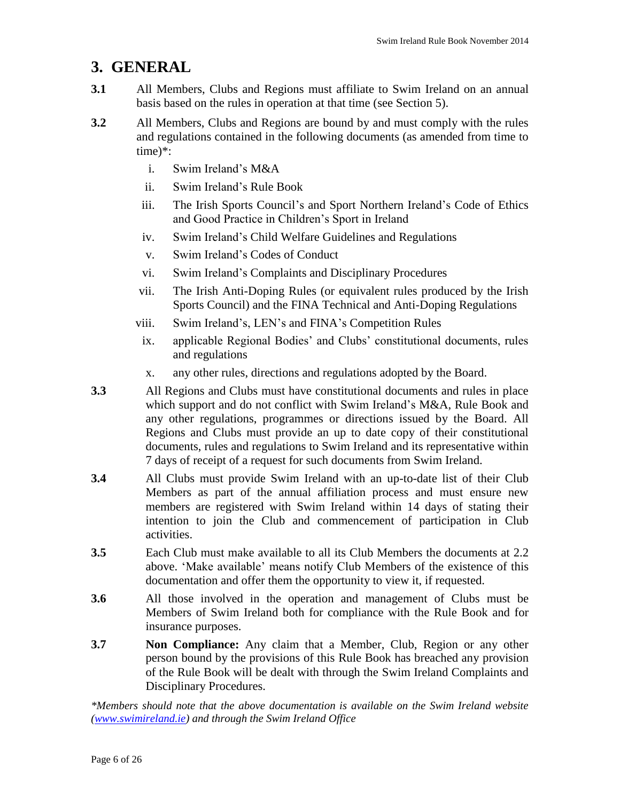# **3. GENERAL**

- **3.1** All Members, Clubs and Regions must affiliate to Swim Ireland on an annual basis based on the rules in operation at that time (see Section 5).
- **3.2** All Members, Clubs and Regions are bound by and must comply with the rules and regulations contained in the following documents (as amended from time to time)\*:
	- i. Swim Ireland's M&A
	- ii. Swim Ireland's Rule Book
	- iii. The Irish Sports Council's and Sport Northern Ireland's Code of Ethics and Good Practice in Children's Sport in Ireland
	- iv. Swim Ireland's Child Welfare Guidelines and Regulations
	- v. Swim Ireland's Codes of Conduct
	- vi. Swim Ireland's Complaints and Disciplinary Procedures
	- vii. The Irish Anti-Doping Rules (or equivalent rules produced by the Irish Sports Council) and the FINA Technical and Anti-Doping Regulations
	- viii. Swim Ireland's, LEN's and FINA's Competition Rules
	- ix. applicable Regional Bodies' and Clubs' constitutional documents, rules and regulations
	- x. any other rules, directions and regulations adopted by the Board.
- **3.3** All Regions and Clubs must have constitutional documents and rules in place which support and do not conflict with Swim Ireland's M&A, Rule Book and any other regulations, programmes or directions issued by the Board. All Regions and Clubs must provide an up to date copy of their constitutional documents, rules and regulations to Swim Ireland and its representative within 7 days of receipt of a request for such documents from Swim Ireland.
- **3.4** All Clubs must provide Swim Ireland with an up-to-date list of their Club Members as part of the annual affiliation process and must ensure new members are registered with Swim Ireland within 14 days of stating their intention to join the Club and commencement of participation in Club activities.
- **3.5** Each Club must make available to all its Club Members the documents at 2.2 above. 'Make available' means notify Club Members of the existence of this documentation and offer them the opportunity to view it, if requested.
- **3.6** All those involved in the operation and management of Clubs must be Members of Swim Ireland both for compliance with the Rule Book and for insurance purposes.
- **3.7 Non Compliance:** Any claim that a Member, Club, Region or any other person bound by the provisions of this Rule Book has breached any provision of the Rule Book will be dealt with through the Swim Ireland Complaints and Disciplinary Procedures.

*\*Members should note that the above documentation is available on the Swim Ireland website [\(www.swimireland.ie\)](http://www.swimireland.ie/) and through the Swim Ireland Office*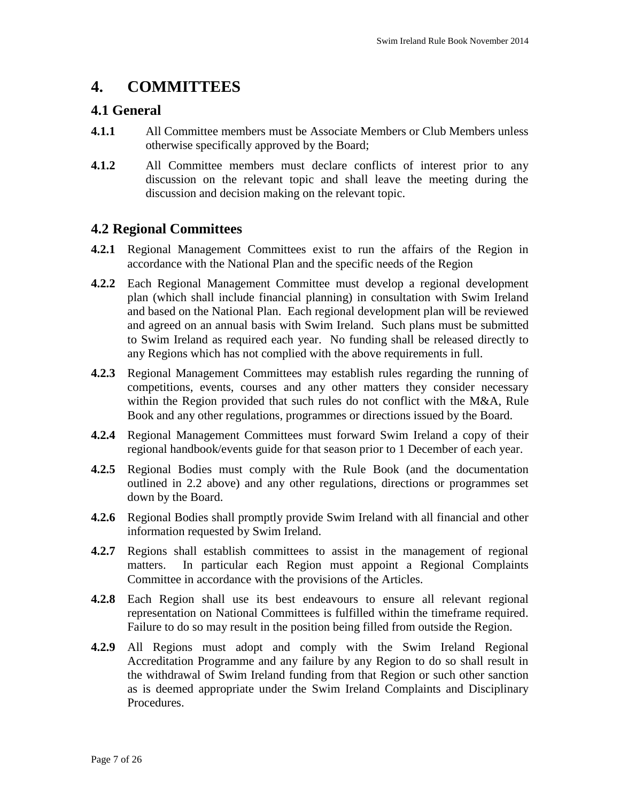# **4. COMMITTEES**

#### **4.1 General**

- **4.1.1** All Committee members must be Associate Members or Club Members unless otherwise specifically approved by the Board;
- **4.1.2** All Committee members must declare conflicts of interest prior to any discussion on the relevant topic and shall leave the meeting during the discussion and decision making on the relevant topic.

#### **4.2 Regional Committees**

- **4.2.1** Regional Management Committees exist to run the affairs of the Region in accordance with the National Plan and the specific needs of the Region
- **4.2.2** Each Regional Management Committee must develop a regional development plan (which shall include financial planning) in consultation with Swim Ireland and based on the National Plan. Each regional development plan will be reviewed and agreed on an annual basis with Swim Ireland. Such plans must be submitted to Swim Ireland as required each year. No funding shall be released directly to any Regions which has not complied with the above requirements in full.
- **4.2.3** Regional Management Committees may establish rules regarding the running of competitions, events, courses and any other matters they consider necessary within the Region provided that such rules do not conflict with the M&A, Rule Book and any other regulations, programmes or directions issued by the Board.
- **4.2.4** Regional Management Committees must forward Swim Ireland a copy of their regional handbook/events guide for that season prior to 1 December of each year.
- **4.2.5** Regional Bodies must comply with the Rule Book (and the documentation outlined in 2.2 above) and any other regulations, directions or programmes set down by the Board.
- **4.2.6** Regional Bodies shall promptly provide Swim Ireland with all financial and other information requested by Swim Ireland.
- **4.2.7** Regions shall establish committees to assist in the management of regional matters. In particular each Region must appoint a Regional Complaints Committee in accordance with the provisions of the Articles.
- **4.2.8** Each Region shall use its best endeavours to ensure all relevant regional representation on National Committees is fulfilled within the timeframe required. Failure to do so may result in the position being filled from outside the Region.
- **4.2.9** All Regions must adopt and comply with the Swim Ireland Regional Accreditation Programme and any failure by any Region to do so shall result in the withdrawal of Swim Ireland funding from that Region or such other sanction as is deemed appropriate under the Swim Ireland Complaints and Disciplinary Procedures.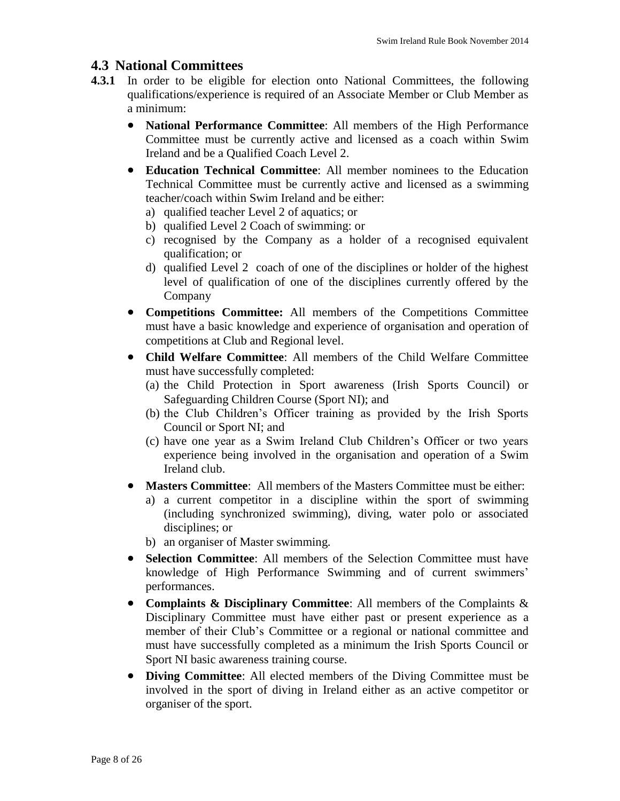#### **4.3 National Committees**

- **4.3.1** In order to be eligible for election onto National Committees, the following qualifications/experience is required of an Associate Member or Club Member as a minimum:
	- **National Performance Committee**: All members of the High Performance Committee must be currently active and licensed as a coach within Swim Ireland and be a Qualified Coach Level 2.
	- **Education Technical Committee**: All member nominees to the Education Technical Committee must be currently active and licensed as a swimming teacher/coach within Swim Ireland and be either:
		- a) qualified teacher Level 2 of aquatics; or
		- b) qualified Level 2 Coach of swimming: or
		- c) recognised by the Company as a holder of a recognised equivalent qualification; or
		- d) qualified Level 2 coach of one of the disciplines or holder of the highest level of qualification of one of the disciplines currently offered by the Company
	- **Competitions Committee:** All members of the Competitions Committee must have a basic knowledge and experience of organisation and operation of competitions at Club and Regional level.
	- **Child Welfare Committee**: All members of the Child Welfare Committee must have successfully completed:
		- (a) the Child Protection in Sport awareness (Irish Sports Council) or Safeguarding Children Course (Sport NI); and
		- (b) the Club Children's Officer training as provided by the Irish Sports Council or Sport NI; and
		- (c) have one year as a Swim Ireland Club Children's Officer or two years experience being involved in the organisation and operation of a Swim Ireland club.
	- **Masters Committee**: All members of the Masters Committee must be either:
		- a) a current competitor in a discipline within the sport of swimming (including synchronized swimming), diving, water polo or associated disciplines; or
		- b) an organiser of Master swimming.
	- **Selection Committee**: All members of the Selection Committee must have knowledge of High Performance Swimming and of current swimmers' performances.
	- **Complaints & Disciplinary Committee**: All members of the Complaints & Disciplinary Committee must have either past or present experience as a member of their Club's Committee or a regional or national committee and must have successfully completed as a minimum the Irish Sports Council or Sport NI basic awareness training course.
	- **Diving Committee**: All elected members of the Diving Committee must be involved in the sport of diving in Ireland either as an active competitor or organiser of the sport.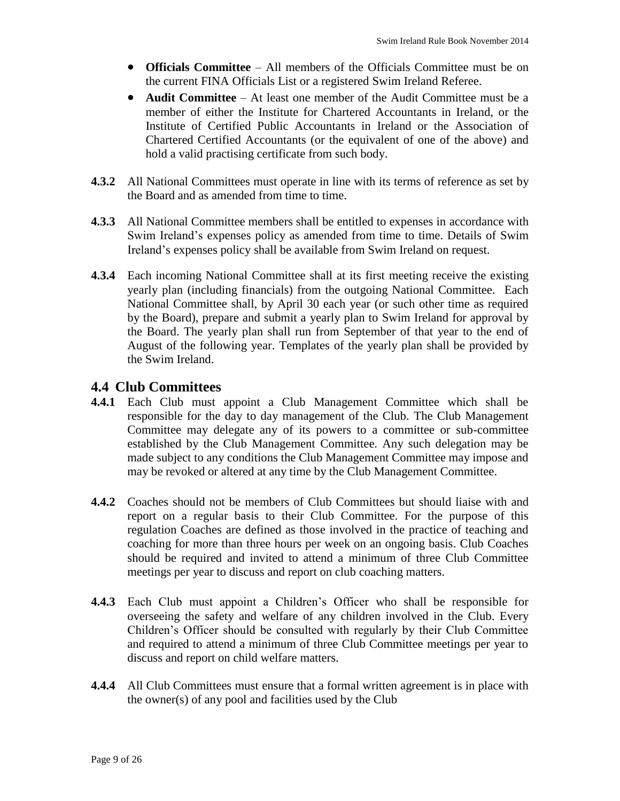- **Officials Committee** All members of the Officials Committee must be on the current FINA Officials List or a registered Swim Ireland Referee.
- **Audit Committee** At least one member of the Audit Committee must be a member of either the Institute for Chartered Accountants in Ireland, or the Institute of Certified Public Accountants in Ireland or [the Association of](http://www.acca.co.uk/)  [Chartered Certified Accountants](http://www.acca.co.uk/) (or the equivalent of one of the above) and hold a valid practising certificate from such body.
- **4.3.2** All National Committees must operate in line with its terms of reference as set by the Board and as amended from time to time.
- **4.3.3** All National Committee members shall be entitled to expenses in accordance with Swim Ireland's expenses policy as amended from time to time. Details of Swim Ireland's expenses policy shall be available from Swim Ireland on request.
- **4.3.4** Each incoming National Committee shall at its first meeting receive the existing yearly plan (including financials) from the outgoing National Committee. Each National Committee shall, by April 30 each year (or such other time as required by the Board), prepare and submit a yearly plan to Swim Ireland for approval by the Board. The yearly plan shall run from September of that year to the end of August of the following year. Templates of the yearly plan shall be provided by the Swim Ireland.

#### **4.4 Club Committees**

- **4.4.1** Each Club must appoint a Club Management Committee which shall be responsible for the day to day management of the Club. The Club Management Committee may delegate any of its powers to a committee or sub-committee established by the Club Management Committee. Any such delegation may be made subject to any conditions the Club Management Committee may impose and may be revoked or altered at any time by the Club Management Committee.
- **4.4.2** Coaches should not be members of Club Committees but should liaise with and report on a regular basis to their Club Committee. For the purpose of this regulation Coaches are defined as those involved in the practice of teaching and coaching for more than three hours per week on an ongoing basis. Club Coaches should be required and invited to attend a minimum of three Club Committee meetings per year to discuss and report on club coaching matters.
- **4.4.3** Each Club must appoint a Children's Officer who shall be responsible for overseeing the safety and welfare of any children involved in the Club. Every Children's Officer should be consulted with regularly by their Club Committee and required to attend a minimum of three Club Committee meetings per year to discuss and report on child welfare matters.
- **4.4.4** All Club Committees must ensure that a formal written agreement is in place with the owner(s) of any pool and facilities used by the Club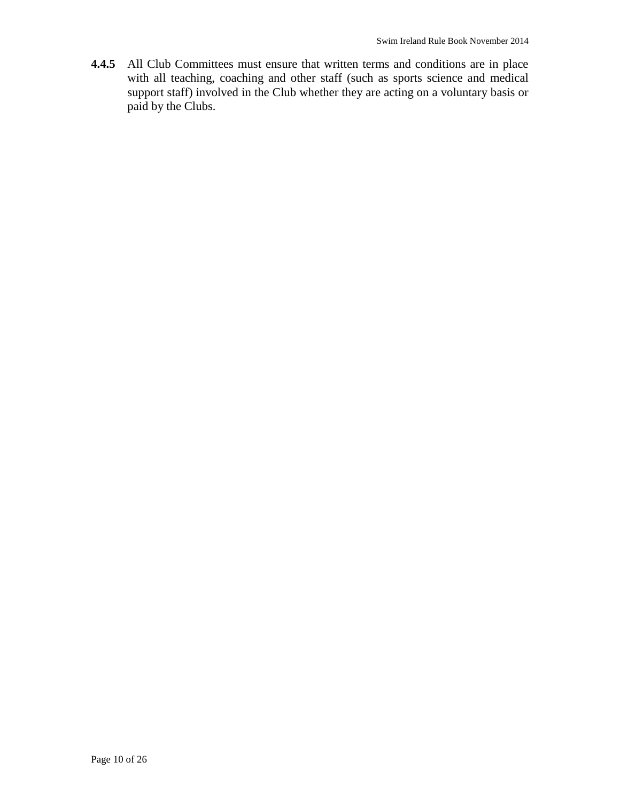**4.4.5** All Club Committees must ensure that written terms and conditions are in place with all teaching, coaching and other staff (such as sports science and medical support staff) involved in the Club whether they are acting on a voluntary basis or paid by the Clubs.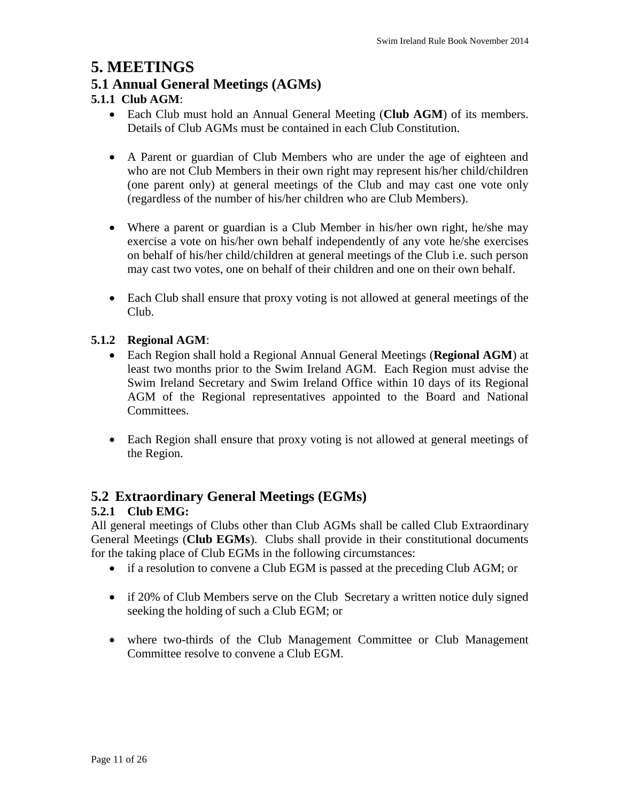### **5. MEETINGS**

#### **5.1 Annual General Meetings (AGMs)**

#### **5.1.1 Club AGM**:

- Each Club must hold an Annual General Meeting (**Club AGM**) of its members. Details of Club AGMs must be contained in each Club Constitution.
- A Parent or guardian of Club Members who are under the age of eighteen and who are not Club Members in their own right may represent his/her child/children (one parent only) at general meetings of the Club and may cast one vote only (regardless of the number of his/her children who are Club Members).
- Where a parent or guardian is a Club Member in his/her own right, he/she may exercise a vote on his/her own behalf independently of any vote he/she exercises on behalf of his/her child/children at general meetings of the Club i.e. such person may cast two votes, one on behalf of their children and one on their own behalf.
- Each Club shall ensure that proxy voting is not allowed at general meetings of the Club.

#### **5.1.2 Regional AGM**:

- Each Region shall hold a Regional Annual General Meetings (**Regional AGM**) at least two months prior to the Swim Ireland AGM. Each Region must advise the Swim Ireland Secretary and Swim Ireland Office within 10 days of its Regional AGM of the Regional representatives appointed to the Board and National Committees.
- Each Region shall ensure that proxy voting is not allowed at general meetings of the Region.

#### **5.2 Extraordinary General Meetings (EGMs)**

#### **5.2.1 Club EMG:**

All general meetings of Clubs other than Club AGMs shall be called Club Extraordinary General Meetings (**Club EGMs**). Clubs shall provide in their constitutional documents for the taking place of Club EGMs in the following circumstances:

- if a resolution to convene a Club EGM is passed at the preceding Club AGM; or
- if 20% of Club Members serve on the Club Secretary a written notice duly signed seeking the holding of such a Club EGM; or
- where two-thirds of the Club Management Committee or Club Management Committee resolve to convene a Club EGM.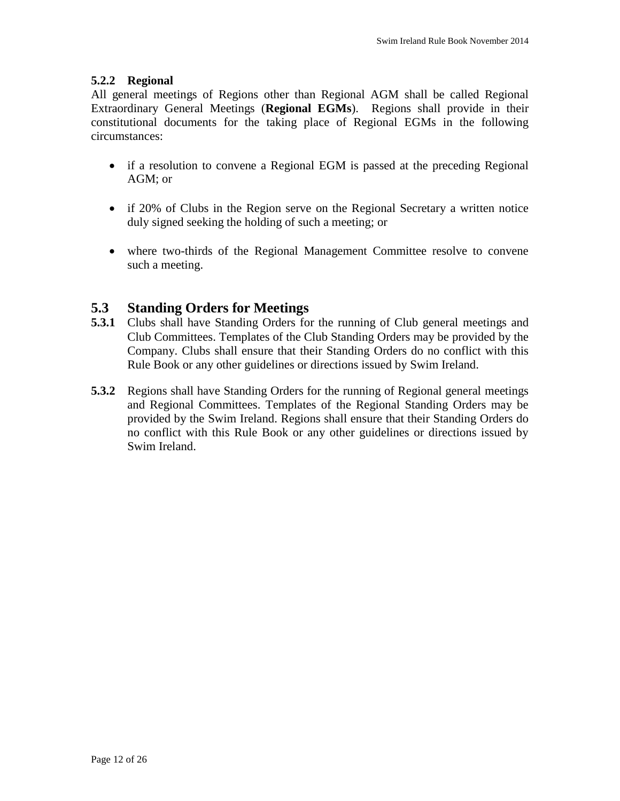#### **5.2.2 Regional**

All general meetings of Regions other than Regional AGM shall be called Regional Extraordinary General Meetings (**Regional EGMs**). Regions shall provide in their constitutional documents for the taking place of Regional EGMs in the following circumstances:

- if a resolution to convene a Regional EGM is passed at the preceding Regional AGM; or
- if 20% of Clubs in the Region serve on the Regional Secretary a written notice duly signed seeking the holding of such a meeting; or
- where two-thirds of the Regional Management Committee resolve to convene such a meeting.

#### **5.3 Standing Orders for Meetings**

- **5.3.1** Clubs shall have Standing Orders for the running of Club general meetings and Club Committees. Templates of the Club Standing Orders may be provided by the Company. Clubs shall ensure that their Standing Orders do no conflict with this Rule Book or any other guidelines or directions issued by Swim Ireland.
- **5.3.2** Regions shall have Standing Orders for the running of Regional general meetings and Regional Committees. Templates of the Regional Standing Orders may be provided by the Swim Ireland. Regions shall ensure that their Standing Orders do no conflict with this Rule Book or any other guidelines or directions issued by Swim Ireland.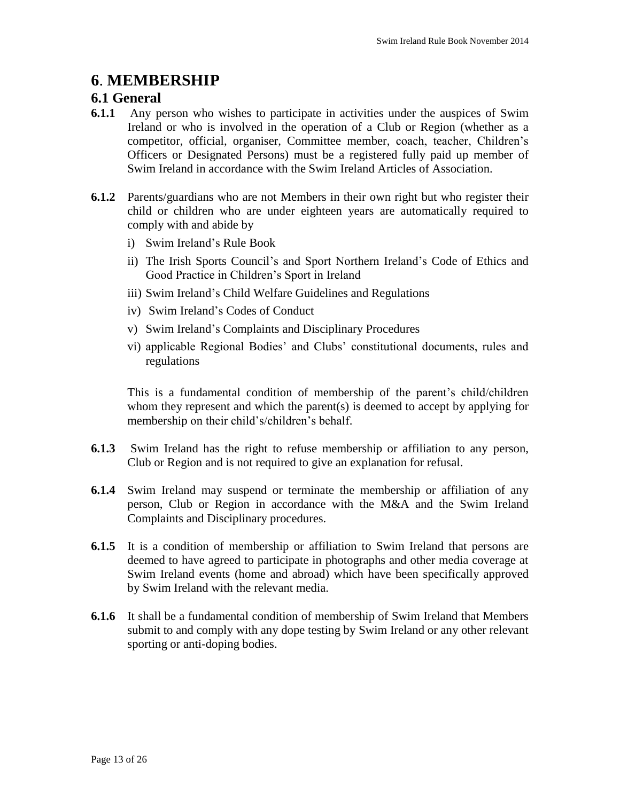# **6**. **MEMBERSHIP**

#### **6.1 General**

- **6.1.1** Any person who wishes to participate in activities under the auspices of Swim Ireland or who is involved in the operation of a Club or Region (whether as a competitor, official, organiser, Committee member, coach, teacher, Children's Officers or Designated Persons) must be a registered fully paid up member of Swim Ireland in accordance with the Swim Ireland Articles of Association.
- **6.1.2** Parents/guardians who are not Members in their own right but who register their child or children who are under eighteen years are automatically required to comply with and abide by
	- i) Swim Ireland's Rule Book
	- ii) The Irish Sports Council's and Sport Northern Ireland's Code of Ethics and Good Practice in Children's Sport in Ireland
	- iii) Swim Ireland's Child Welfare Guidelines and Regulations
	- iv) Swim Ireland's Codes of Conduct
	- v) Swim Ireland's Complaints and Disciplinary Procedures
	- vi) applicable Regional Bodies' and Clubs' constitutional documents, rules and regulations

This is a fundamental condition of membership of the parent's child/children whom they represent and which the parent(s) is deemed to accept by applying for membership on their child's/children's behalf.

- **6.1.3** Swim Ireland has the right to refuse membership or affiliation to any person, Club or Region and is not required to give an explanation for refusal.
- **6.1.4** Swim Ireland may suspend or terminate the membership or affiliation of any person, Club or Region in accordance with the M&A and the Swim Ireland Complaints and Disciplinary procedures.
- **6.1.5** It is a condition of membership or affiliation to Swim Ireland that persons are deemed to have agreed to participate in photographs and other media coverage at Swim Ireland events (home and abroad) which have been specifically approved by Swim Ireland with the relevant media.
- **6.1.6** It shall be a fundamental condition of membership of Swim Ireland that Members submit to and comply with any dope testing by Swim Ireland or any other relevant sporting or anti-doping bodies.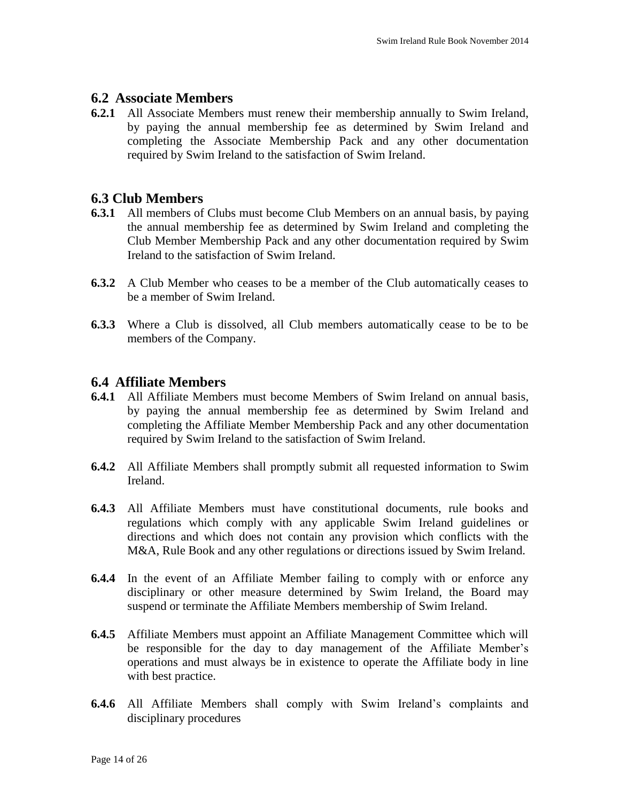#### **6.2 Associate Members**

**6.2.1** All Associate Members must renew their membership annually to Swim Ireland, by paying the annual membership fee as determined by Swim Ireland and completing the Associate Membership Pack and any other documentation required by Swim Ireland to the satisfaction of Swim Ireland.

#### **6.3 Club Members**

- **6.3.1** All members of Clubs must become Club Members on an annual basis, by paying the annual membership fee as determined by Swim Ireland and completing the Club Member Membership Pack and any other documentation required by Swim Ireland to the satisfaction of Swim Ireland.
- **6.3.2** A Club Member who ceases to be a member of the Club automatically ceases to be a member of Swim Ireland.
- **6.3.3** Where a Club is dissolved, all Club members automatically cease to be to be members of the Company.

#### **6.4 Affiliate Members**

- **6.4.1** All Affiliate Members must become Members of Swim Ireland on annual basis, by paying the annual membership fee as determined by Swim Ireland and completing the Affiliate Member Membership Pack and any other documentation required by Swim Ireland to the satisfaction of Swim Ireland.
- **6.4.2** All Affiliate Members shall promptly submit all requested information to Swim Ireland.
- **6.4.3** All Affiliate Members must have constitutional documents, rule books and regulations which comply with any applicable Swim Ireland guidelines or directions and which does not contain any provision which conflicts with the M&A, Rule Book and any other regulations or directions issued by Swim Ireland.
- **6.4.4** In the event of an Affiliate Member failing to comply with or enforce any disciplinary or other measure determined by Swim Ireland, the Board may suspend or terminate the Affiliate Members membership of Swim Ireland.
- **6.4.5** Affiliate Members must appoint an Affiliate Management Committee which will be responsible for the day to day management of the Affiliate Member's operations and must always be in existence to operate the Affiliate body in line with best practice.
- **6.4.6** All Affiliate Members shall comply with Swim Ireland's complaints and disciplinary procedures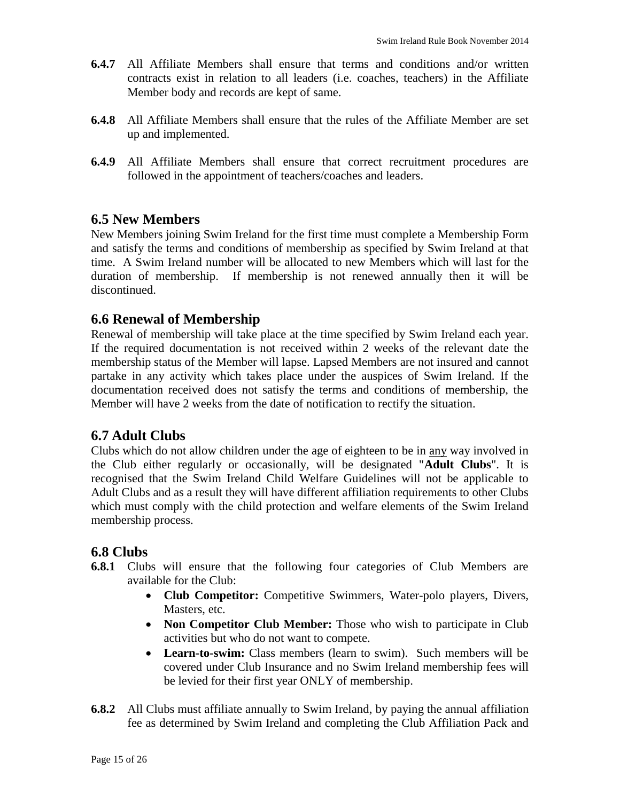- **6.4.7** All Affiliate Members shall ensure that terms and conditions and/or written contracts exist in relation to all leaders (i.e. coaches, teachers) in the Affiliate Member body and records are kept of same.
- **6.4.8** All Affiliate Members shall ensure that the rules of the Affiliate Member are set up and implemented.
- **6.4.9** All Affiliate Members shall ensure that correct recruitment procedures are followed in the appointment of teachers/coaches and leaders.

#### **6.5 New Members**

New Members joining Swim Ireland for the first time must complete a Membership Form and satisfy the terms and conditions of membership as specified by Swim Ireland at that time. A Swim Ireland number will be allocated to new Members which will last for the duration of membership. If membership is not renewed annually then it will be discontinued.

#### **6.6 Renewal of Membership**

Renewal of membership will take place at the time specified by Swim Ireland each year. If the required documentation is not received within 2 weeks of the relevant date the membership status of the Member will lapse. Lapsed Members are not insured and cannot partake in any activity which takes place under the auspices of Swim Ireland. If the documentation received does not satisfy the terms and conditions of membership, the Member will have 2 weeks from the date of notification to rectify the situation.

#### **6.7 Adult Clubs**

Clubs which do not allow children under the age of eighteen to be in any way involved in the Club either regularly or occasionally, will be designated "**Adult Clubs**". It is recognised that the Swim Ireland Child Welfare Guidelines will not be applicable to Adult Clubs and as a result they will have different affiliation requirements to other Clubs which must comply with the child protection and welfare elements of the Swim Ireland membership process.

#### **6.8 Clubs**

- **6.8.1** Clubs will ensure that the following four categories of Club Members are available for the Club:
	- **Club Competitor:** Competitive Swimmers, Water-polo players, Divers, Masters, etc.
	- **Non Competitor Club Member:** Those who wish to participate in Club activities but who do not want to compete.
	- **Learn-to-swim:** Class members (learn to swim). Such members will be covered under Club Insurance and no Swim Ireland membership fees will be levied for their first year ONLY of membership.
- **6.8.2** All Clubs must affiliate annually to Swim Ireland, by paying the annual affiliation fee as determined by Swim Ireland and completing the Club Affiliation Pack and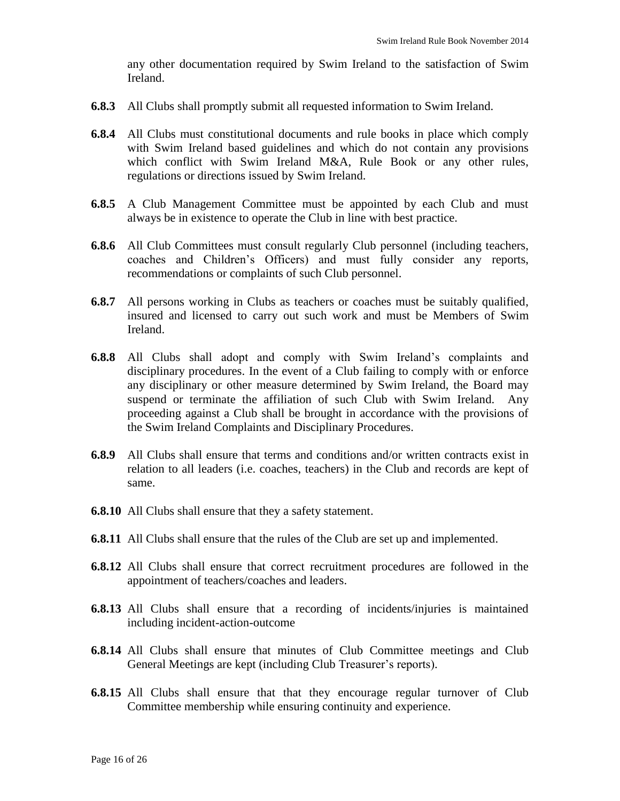any other documentation required by Swim Ireland to the satisfaction of Swim Ireland.

- **6.8.3** All Clubs shall promptly submit all requested information to Swim Ireland.
- **6.8.4** All Clubs must constitutional documents and rule books in place which comply with Swim Ireland based guidelines and which do not contain any provisions which conflict with Swim Ireland M&A, Rule Book or any other rules, regulations or directions issued by Swim Ireland.
- **6.8.5** A Club Management Committee must be appointed by each Club and must always be in existence to operate the Club in line with best practice.
- **6.8.6** All Club Committees must consult regularly Club personnel (including teachers, coaches and Children's Officers) and must fully consider any reports, recommendations or complaints of such Club personnel.
- **6.8.7** All persons working in Clubs as teachers or coaches must be suitably qualified, insured and licensed to carry out such work and must be Members of Swim Ireland.
- **6.8.8** All Clubs shall adopt and comply with Swim Ireland's complaints and disciplinary procedures. In the event of a Club failing to comply with or enforce any disciplinary or other measure determined by Swim Ireland, the Board may suspend or terminate the affiliation of such Club with Swim Ireland. Any proceeding against a Club shall be brought in accordance with the provisions of the Swim Ireland Complaints and Disciplinary Procedures.
- **6.8.9** All Clubs shall ensure that terms and conditions and/or written contracts exist in relation to all leaders (i.e. coaches, teachers) in the Club and records are kept of same.
- **6.8.10** All Clubs shall ensure that they a safety statement.
- **6.8.11** All Clubs shall ensure that the rules of the Club are set up and implemented.
- **6.8.12** All Clubs shall ensure that correct recruitment procedures are followed in the appointment of teachers/coaches and leaders.
- **6.8.13** All Clubs shall ensure that a recording of incidents/injuries is maintained including incident-action-outcome
- **6.8.14** All Clubs shall ensure that minutes of Club Committee meetings and Club General Meetings are kept (including Club Treasurer's reports).
- **6.8.15** All Clubs shall ensure that that they encourage regular turnover of Club Committee membership while ensuring continuity and experience.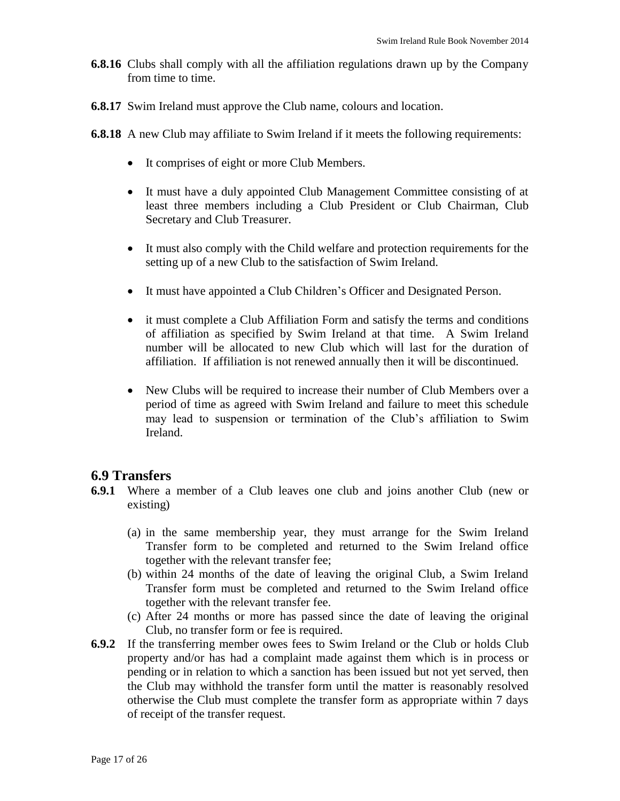- **6.8.16** Clubs shall comply with all the affiliation regulations drawn up by the Company from time to time.
- **6.8.17** Swim Ireland must approve the Club name, colours and location.
- **6.8.18** A new Club may affiliate to Swim Ireland if it meets the following requirements:
	- It comprises of eight or more Club Members.
	- It must have a duly appointed Club Management Committee consisting of at least three members including a Club President or Club Chairman, Club Secretary and Club Treasurer.
	- It must also comply with the Child welfare and protection requirements for the setting up of a new Club to the satisfaction of Swim Ireland.
	- It must have appointed a Club Children's Officer and Designated Person.
	- it must complete a Club Affiliation Form and satisfy the terms and conditions of affiliation as specified by Swim Ireland at that time. A Swim Ireland number will be allocated to new Club which will last for the duration of affiliation. If affiliation is not renewed annually then it will be discontinued.
	- New Clubs will be required to increase their number of Club Members over a period of time as agreed with Swim Ireland and failure to meet this schedule may lead to suspension or termination of the Club's affiliation to Swim Ireland.

#### **6.9 Transfers**

- **6.9.1** Where a member of a Club leaves one club and joins another Club (new or existing)
	- (a) in the same membership year, they must arrange for the Swim Ireland Transfer form to be completed and returned to the Swim Ireland office together with the relevant transfer fee;
	- (b) within 24 months of the date of leaving the original Club, a Swim Ireland Transfer form must be completed and returned to the Swim Ireland office together with the relevant transfer fee.
	- (c) After 24 months or more has passed since the date of leaving the original Club, no transfer form or fee is required.
- **6.9.2** If the transferring member owes fees to Swim Ireland or the Club or holds Club property and/or has had a complaint made against them which is in process or pending or in relation to which a sanction has been issued but not yet served, then the Club may withhold the transfer form until the matter is reasonably resolved otherwise the Club must complete the transfer form as appropriate within 7 days of receipt of the transfer request.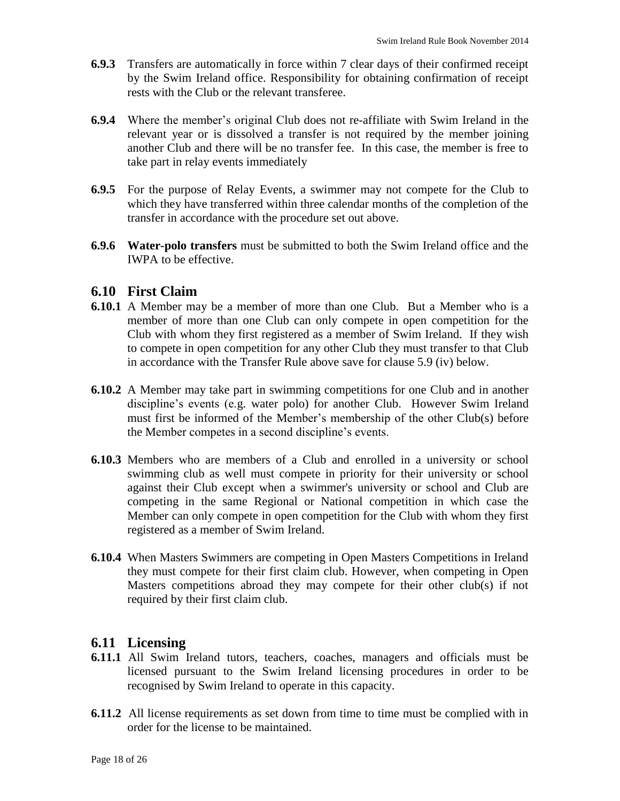- **6.9.3** Transfers are automatically in force within 7 clear days of their confirmed receipt by the Swim Ireland office. Responsibility for obtaining confirmation of receipt rests with the Club or the relevant transferee.
- **6.9.4** Where the member's original Club does not re-affiliate with Swim Ireland in the relevant year or is dissolved a transfer is not required by the member joining another Club and there will be no transfer fee. In this case, the member is free to take part in relay events immediately
- **6.9.5** For the purpose of Relay Events, a swimmer may not compete for the Club to which they have transferred within three calendar months of the completion of the transfer in accordance with the procedure set out above.
- **6.9.6 Water-polo transfers** must be submitted to both the Swim Ireland office and the IWPA to be effective.

#### **6.10 First Claim**

- **6.10.1** A Member may be a member of more than one Club. But a Member who is a member of more than one Club can only compete in open competition for the Club with whom they first registered as a member of Swim Ireland. If they wish to compete in open competition for any other Club they must transfer to that Club in accordance with the Transfer Rule above save for clause 5.9 (iv) below.
- **6.10.2** A Member may take part in swimming competitions for one Club and in another discipline's events (e.g. water polo) for another Club. However Swim Ireland must first be informed of the Member's membership of the other Club(s) before the Member competes in a second discipline's events.
- **6.10.3** Members who are members of a Club and enrolled in a university or school swimming club as well must compete in priority for their university or school against their Club except when a swimmer's university or school and Club are competing in the same Regional or National competition in which case the Member can only compete in open competition for the Club with whom they first registered as a member of Swim Ireland.
- **6.10.4** When Masters Swimmers are competing in Open Masters Competitions in Ireland they must compete for their first claim club. However, when competing in Open Masters competitions abroad they may compete for their other club(s) if not required by their first claim club.

#### **6.11 Licensing**

- **6.11.1** All Swim Ireland tutors, teachers, coaches, managers and officials must be licensed pursuant to the Swim Ireland licensing procedures in order to be recognised by Swim Ireland to operate in this capacity.
- **6.11.2** All license requirements as set down from time to time must be complied with in order for the license to be maintained.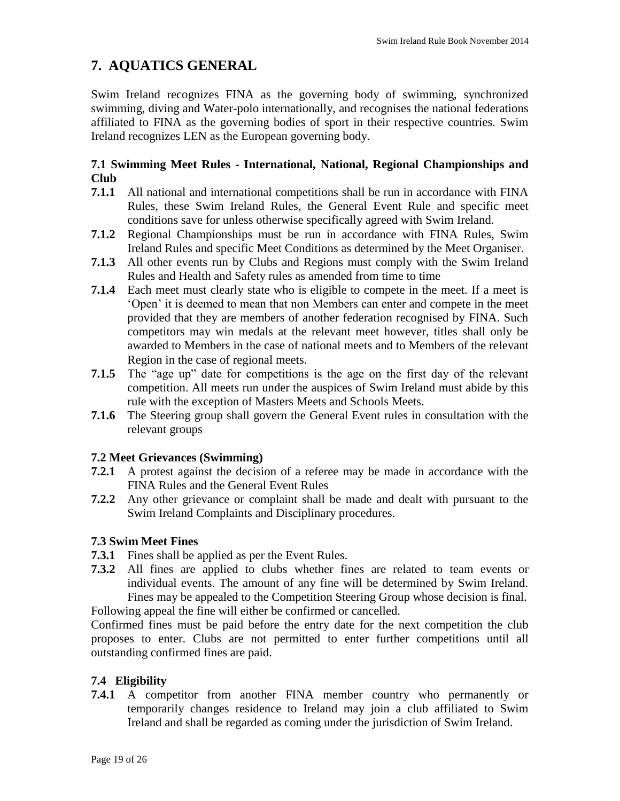# **7. AQUATICS GENERAL**

Swim Ireland recognizes FINA as the governing body of swimming, synchronized swimming, diving and Water-polo internationally, and recognises the national federations affiliated to FINA as the governing bodies of sport in their respective countries. Swim Ireland recognizes LEN as the European governing body.

#### **7.1 Swimming Meet Rules - International, National, Regional Championships and Club**

- **7.1.1** All national and international competitions shall be run in accordance with FINA Rules, these Swim Ireland Rules, the General Event Rule and specific meet conditions save for unless otherwise specifically agreed with Swim Ireland.
- **7.1.2** Regional Championships must be run in accordance with FINA Rules, Swim Ireland Rules and specific Meet Conditions as determined by the Meet Organiser.
- **7.1.3** All other events run by Clubs and Regions must comply with the Swim Ireland Rules and Health and Safety rules as amended from time to time
- **7.1.4** Each meet must clearly state who is eligible to compete in the meet. If a meet is 'Open' it is deemed to mean that non Members can enter and compete in the meet provided that they are members of another federation recognised by FINA. Such competitors may win medals at the relevant meet however, titles shall only be awarded to Members in the case of national meets and to Members of the relevant Region in the case of regional meets.
- **7.1.5** The "age up" date for competitions is the age on the first day of the relevant competition. All meets run under the auspices of Swim Ireland must abide by this rule with the exception of Masters Meets and Schools Meets.
- **7.1.6** The Steering group shall govern the General Event rules in consultation with the relevant groups

#### **7.2 Meet Grievances (Swimming)**

- **7.2.1** A protest against the decision of a referee may be made in accordance with the FINA Rules and the General Event Rules
- **7.2.2** Any other grievance or complaint shall be made and dealt with pursuant to the Swim Ireland Complaints and Disciplinary procedures.

#### **7.3 Swim Meet Fines**

- **7.3.1** Fines shall be applied as per the Event Rules.
- **7.3.2** All fines are applied to clubs whether fines are related to team events or individual events. The amount of any fine will be determined by Swim Ireland. Fines may be appealed to the Competition Steering Group whose decision is final. Following appeal the fine will either be confirmed or cancelled.

Confirmed fines must be paid before the entry date for the next competition the club proposes to enter. Clubs are not permitted to enter further competitions until all outstanding confirmed fines are paid.

#### **7.4 Eligibility**

**7.4.1** A competitor from another FINA member country who permanently or temporarily changes residence to Ireland may join a club affiliated to Swim Ireland and shall be regarded as coming under the jurisdiction of Swim Ireland.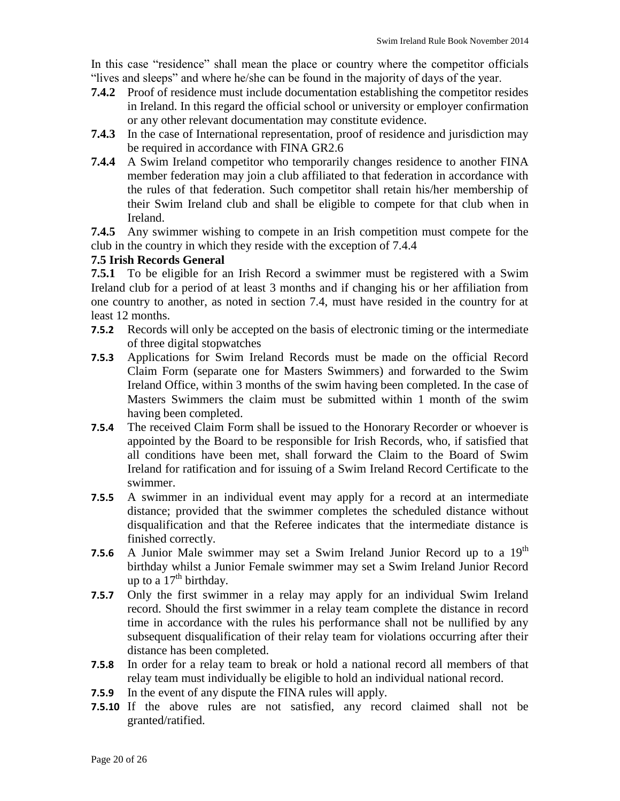In this case "residence" shall mean the place or country where the competitor officials "lives and sleeps" and where he/she can be found in the majority of days of the year.

- **7.4.2** Proof of residence must include documentation establishing the competitor resides in Ireland. In this regard the official school or university or employer confirmation or any other relevant documentation may constitute evidence.
- **7.4.3** In the case of International representation, proof of residence and jurisdiction may be required in accordance with FINA GR2.6
- **7.4.4** A Swim Ireland competitor who temporarily changes residence to another FINA member federation may join a club affiliated to that federation in accordance with the rules of that federation. Such competitor shall retain his/her membership of their Swim Ireland club and shall be eligible to compete for that club when in Ireland.

**7.4.5** Any swimmer wishing to compete in an Irish competition must compete for the club in the country in which they reside with the exception of 7.4.4

#### **7.5 Irish Records General**

**7.5.1** To be eligible for an Irish Record a swimmer must be registered with a Swim Ireland club for a period of at least 3 months and if changing his or her affiliation from one country to another, as noted in section 7.4, must have resided in the country for at least 12 months.

- **7.5.2** Records will only be accepted on the basis of electronic timing or the intermediate of three digital stopwatches
- **7.5.3** Applications for Swim Ireland Records must be made on the official Record Claim Form (separate one for Masters Swimmers) and forwarded to the Swim Ireland Office, within 3 months of the swim having been completed. In the case of Masters Swimmers the claim must be submitted within 1 month of the swim having been completed.
- **7.5.4** The received Claim Form shall be issued to the Honorary Recorder or whoever is appointed by the Board to be responsible for Irish Records, who, if satisfied that all conditions have been met, shall forward the Claim to the Board of Swim Ireland for ratification and for issuing of a Swim Ireland Record Certificate to the swimmer.
- **7.5.5** A swimmer in an individual event may apply for a record at an intermediate distance; provided that the swimmer completes the scheduled distance without disqualification and that the Referee indicates that the intermediate distance is finished correctly.
- **7.5.6** A Junior Male swimmer may set a Swim Ireland Junior Record up to a 19<sup>th</sup> birthday whilst a Junior Female swimmer may set a Swim Ireland Junior Record up to a  $17<sup>th</sup>$  birthday.
- **7.5.7** Only the first swimmer in a relay may apply for an individual Swim Ireland record. Should the first swimmer in a relay team complete the distance in record time in accordance with the rules his performance shall not be nullified by any subsequent disqualification of their relay team for violations occurring after their distance has been completed.
- **7.5.8** In order for a relay team to break or hold a national record all members of that relay team must individually be eligible to hold an individual national record.
- **7.5.9** In the event of any dispute the FINA rules will apply.
- **7.5.10** If the above rules are not satisfied, any record claimed shall not be granted/ratified.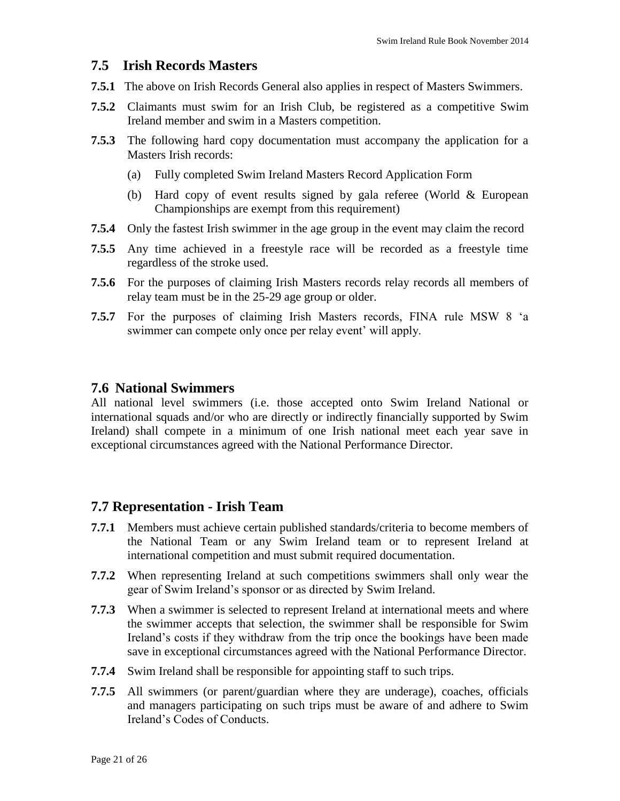#### **7.5 Irish Records Masters**

- **7.5.1** The above on Irish Records General also applies in respect of Masters Swimmers.
- **7.5.2** Claimants must swim for an Irish Club, be registered as a competitive Swim Ireland member and swim in a Masters competition.
- **7.5.3** The following hard copy documentation must accompany the application for a Masters Irish records:
	- (a) Fully completed Swim Ireland Masters Record Application Form
	- (b) Hard copy of event results signed by gala referee (World & European Championships are exempt from this requirement)
- **7.5.4** Only the fastest Irish swimmer in the age group in the event may claim the record
- **7.5.5** Any time achieved in a freestyle race will be recorded as a freestyle time regardless of the stroke used.
- **7.5.6** For the purposes of claiming Irish Masters records relay records all members of relay team must be in the 25-29 age group or older.
- **7.5.7** For the purposes of claiming Irish Masters records, FINA rule MSW 8 'a swimmer can compete only once per relay event' will apply.

#### **7.6 National Swimmers**

All national level swimmers (i.e. those accepted onto Swim Ireland National or international squads and/or who are directly or indirectly financially supported by Swim Ireland) shall compete in a minimum of one Irish national meet each year save in exceptional circumstances agreed with the National Performance Director.

#### **7.7 Representation - Irish Team**

- **7.7.1** Members must achieve certain published standards/criteria to become members of the National Team or any Swim Ireland team or to represent Ireland at international competition and must submit required documentation.
- **7.7.2** When representing Ireland at such competitions swimmers shall only wear the gear of Swim Ireland's sponsor or as directed by Swim Ireland.
- **7.7.3** When a swimmer is selected to represent Ireland at international meets and where the swimmer accepts that selection, the swimmer shall be responsible for Swim Ireland's costs if they withdraw from the trip once the bookings have been made save in exceptional circumstances agreed with the National Performance Director.
- **7.7.4** Swim Ireland shall be responsible for appointing staff to such trips.
- **7.7.5** All swimmers (or parent/guardian where they are underage), coaches, officials and managers participating on such trips must be aware of and adhere to Swim Ireland's Codes of Conducts.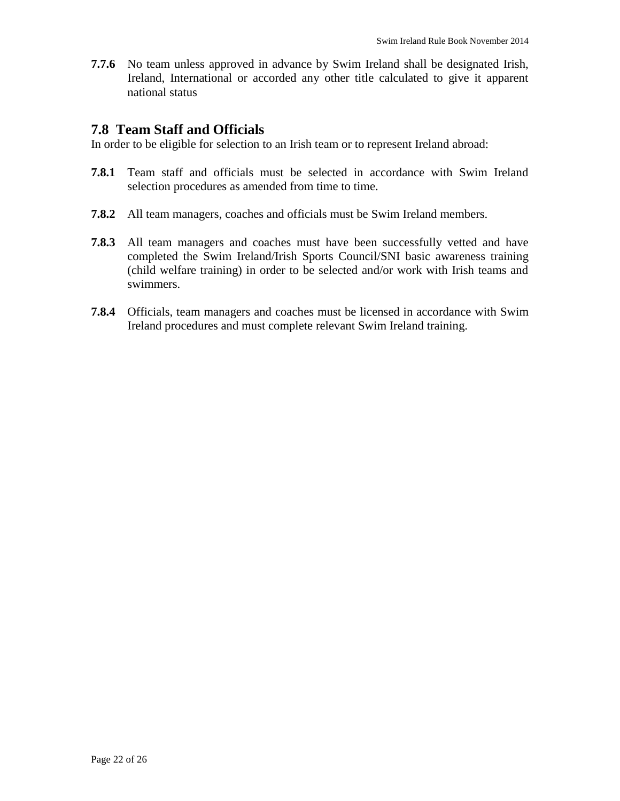**7.7.6** No team unless approved in advance by Swim Ireland shall be designated Irish, Ireland, International or accorded any other title calculated to give it apparent national status

#### **7.8 Team Staff and Officials**

In order to be eligible for selection to an Irish team or to represent Ireland abroad:

- **7.8.1** Team staff and officials must be selected in accordance with Swim Ireland selection procedures as amended from time to time.
- **7.8.2** All team managers, coaches and officials must be Swim Ireland members.
- **7.8.3** All team managers and coaches must have been successfully vetted and have completed the Swim Ireland/Irish Sports Council/SNI basic awareness training (child welfare training) in order to be selected and/or work with Irish teams and swimmers.
- **7.8.4** Officials, team managers and coaches must be licensed in accordance with Swim Ireland procedures and must complete relevant Swim Ireland training.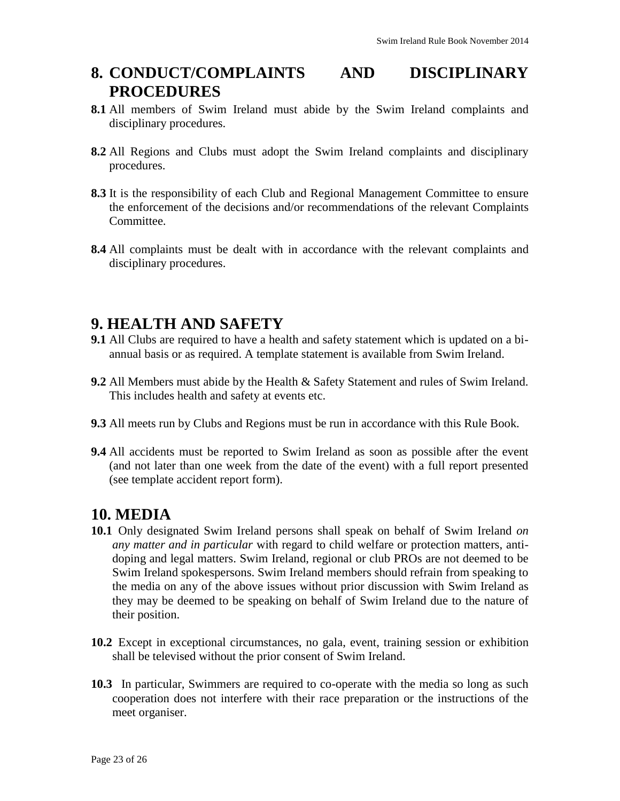# **8. CONDUCT/COMPLAINTS AND DISCIPLINARY PROCEDURES**

- **8.1** All members of Swim Ireland must abide by the Swim Ireland complaints and disciplinary procedures.
- **8.2** All Regions and Clubs must adopt the Swim Ireland complaints and disciplinary procedures.
- **8.3** It is the responsibility of each Club and Regional Management Committee to ensure the enforcement of the decisions and/or recommendations of the relevant Complaints Committee.
- **8.4** All complaints must be dealt with in accordance with the relevant complaints and disciplinary procedures.

### **9. HEALTH AND SAFETY**

- **9.1** All Clubs are required to have a health and safety statement which is updated on a biannual basis or as required. A template statement is available from Swim Ireland.
- **9.2** All Members must abide by the Health & Safety Statement and rules of Swim Ireland. This includes health and safety at events etc.
- **9.3** All meets run by Clubs and Regions must be run in accordance with this Rule Book.
- **9.4** All accidents must be reported to Swim Ireland as soon as possible after the event (and not later than one week from the date of the event) with a full report presented (see template accident report form).

#### **10. MEDIA**

- **10.1** Only designated Swim Ireland persons shall speak on behalf of Swim Ireland *on any matter and in particular* with regard to child welfare or protection matters, antidoping and legal matters. Swim Ireland, regional or club PROs are not deemed to be Swim Ireland spokespersons. Swim Ireland members should refrain from speaking to the media on any of the above issues without prior discussion with Swim Ireland as they may be deemed to be speaking on behalf of Swim Ireland due to the nature of their position.
- **10.2** Except in exceptional circumstances, no gala, event, training session or exhibition shall be televised without the prior consent of Swim Ireland.
- **10.3** In particular, Swimmers are required to co-operate with the media so long as such cooperation does not interfere with their race preparation or the instructions of the meet organiser.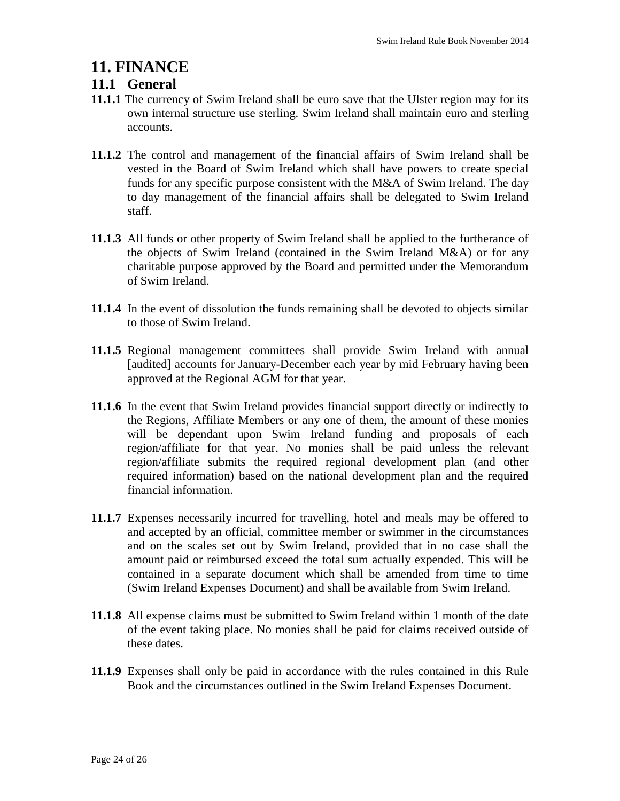#### **11. FINANCE**

#### **11.1 General**

- **11.1.1** The currency of Swim Ireland shall be euro save that the Ulster region may for its own internal structure use sterling. Swim Ireland shall maintain euro and sterling accounts.
- **11.1.2** The control and management of the financial affairs of Swim Ireland shall be vested in the Board of Swim Ireland which shall have powers to create special funds for any specific purpose consistent with the M&A of Swim Ireland. The day to day management of the financial affairs shall be delegated to Swim Ireland staff.
- **11.1.3** All funds or other property of Swim Ireland shall be applied to the furtherance of the objects of Swim Ireland (contained in the Swim Ireland M&A) or for any charitable purpose approved by the Board and permitted under the Memorandum of Swim Ireland.
- **11.1.4** In the event of dissolution the funds remaining shall be devoted to objects similar to those of Swim Ireland.
- **11.1.5** Regional management committees shall provide Swim Ireland with annual [audited] accounts for January-December each year by mid February having been approved at the Regional AGM for that year.
- **11.1.6** In the event that Swim Ireland provides financial support directly or indirectly to the Regions, Affiliate Members or any one of them, the amount of these monies will be dependant upon Swim Ireland funding and proposals of each region/affiliate for that year. No monies shall be paid unless the relevant region/affiliate submits the required regional development plan (and other required information) based on the national development plan and the required financial information.
- **11.1.7** Expenses necessarily incurred for travelling, hotel and meals may be offered to and accepted by an official, committee member or swimmer in the circumstances and on the scales set out by Swim Ireland, provided that in no case shall the amount paid or reimbursed exceed the total sum actually expended. This will be contained in a separate document which shall be amended from time to time (Swim Ireland Expenses Document) and shall be available from Swim Ireland.
- **11.1.8** All expense claims must be submitted to Swim Ireland within 1 month of the date of the event taking place. No monies shall be paid for claims received outside of these dates.
- **11.1.9** Expenses shall only be paid in accordance with the rules contained in this Rule Book and the circumstances outlined in the Swim Ireland Expenses Document.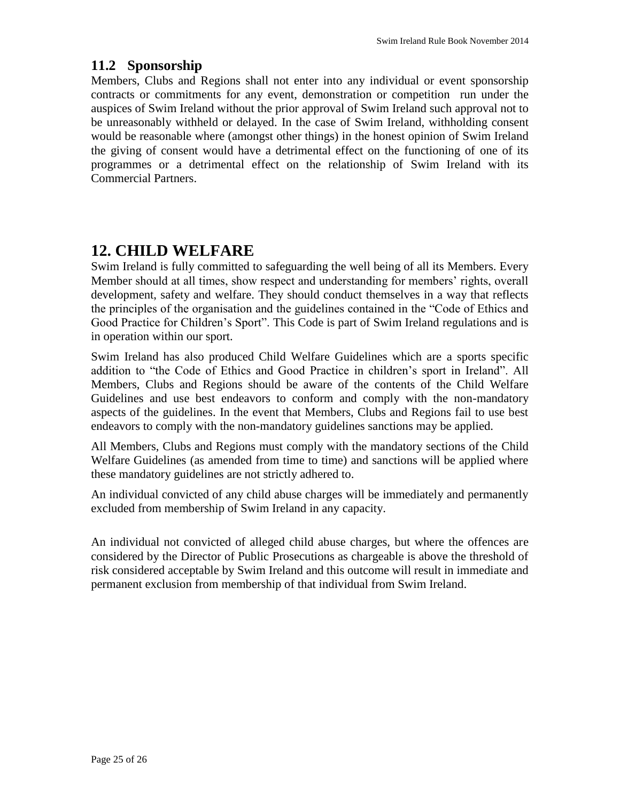#### **11.2 Sponsorship**

Members, Clubs and Regions shall not enter into any individual or event sponsorship contracts or commitments for any event, demonstration or competition run under the auspices of Swim Ireland without the prior approval of Swim Ireland such approval not to be unreasonably withheld or delayed. In the case of Swim Ireland, withholding consent would be reasonable where (amongst other things) in the honest opinion of Swim Ireland the giving of consent would have a detrimental effect on the functioning of one of its programmes or a detrimental effect on the relationship of Swim Ireland with its Commercial Partners.

# **12. CHILD WELFARE**

Swim Ireland is fully committed to safeguarding the well being of all its Members. Every Member should at all times, show respect and understanding for members' rights, overall development, safety and welfare. They should conduct themselves in a way that reflects the principles of the organisation and the guidelines contained in the "Code of Ethics and Good Practice for Children's Sport". This Code is part of Swim Ireland regulations and is in operation within our sport.

Swim Ireland has also produced Child Welfare Guidelines which are a sports specific addition to "the Code of Ethics and Good Practice in children's sport in Ireland". All Members, Clubs and Regions should be aware of the contents of the Child Welfare Guidelines and use best endeavors to conform and comply with the non-mandatory aspects of the guidelines. In the event that Members, Clubs and Regions fail to use best endeavors to comply with the non-mandatory guidelines sanctions may be applied.

All Members, Clubs and Regions must comply with the mandatory sections of the Child Welfare Guidelines (as amended from time to time) and sanctions will be applied where these mandatory guidelines are not strictly adhered to.

An individual convicted of any child abuse charges will be immediately and permanently excluded from membership of Swim Ireland in any capacity.

An individual not convicted of alleged child abuse charges, but where the offences are considered by the Director of Public Prosecutions as chargeable is above the threshold of risk considered acceptable by Swim Ireland and this outcome will result in immediate and permanent exclusion from membership of that individual from Swim Ireland.